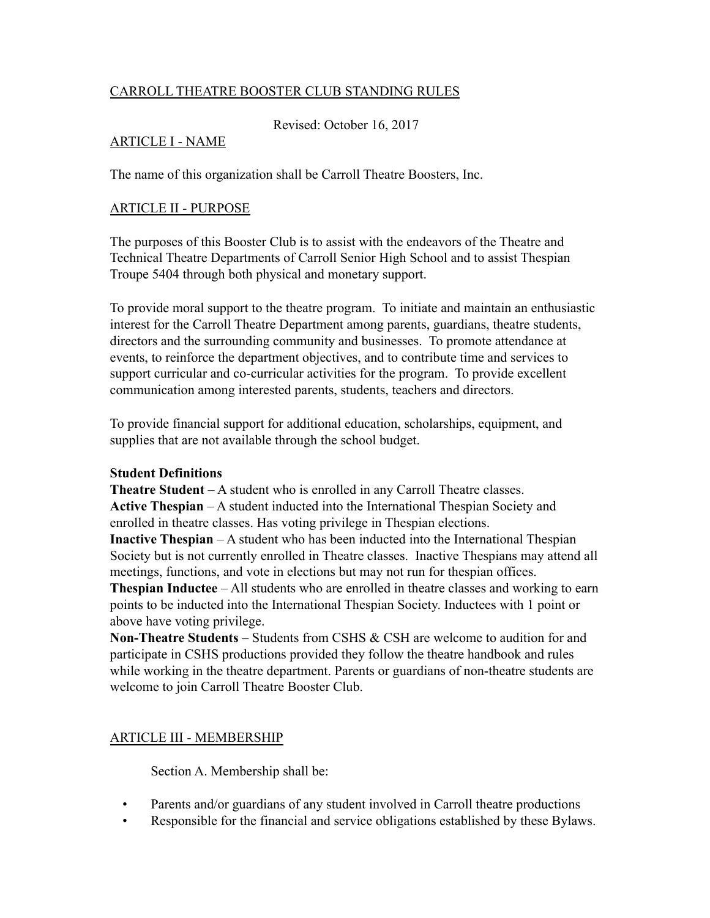## CARROLL THEATRE BOOSTER CLUB STANDING RULES

Revised: October 16, 2017

#### ARTICLE I - NAME

The name of this organization shall be Carroll Theatre Boosters, Inc.

#### ARTICLE II - PURPOSE

The purposes of this Booster Club is to assist with the endeavors of the Theatre and Technical Theatre Departments of Carroll Senior High School and to assist Thespian Troupe 5404 through both physical and monetary support.

To provide moral support to the theatre program. To initiate and maintain an enthusiastic interest for the Carroll Theatre Department among parents, guardians, theatre students, directors and the surrounding community and businesses. To promote attendance at events, to reinforce the department objectives, and to contribute time and services to support curricular and co-curricular activities for the program. To provide excellent communication among interested parents, students, teachers and directors.

To provide financial support for additional education, scholarships, equipment, and supplies that are not available through the school budget.

#### **Student Definitions**

**Theatre Student** – A student who is enrolled in any Carroll Theatre classes. **Active Thespian** – A student inducted into the International Thespian Society and enrolled in theatre classes. Has voting privilege in Thespian elections. **Inactive Thespian** – A student who has been inducted into the International Thespian Society but is not currently enrolled in Theatre classes. Inactive Thespians may attend all meetings, functions, and vote in elections but may not run for thespian offices. **Thespian Inductee** – All students who are enrolled in theatre classes and working to earn points to be inducted into the International Thespian Society. Inductees with 1 point or above have voting privilege.

**Non-Theatre Students** – Students from CSHS & CSH are welcome to audition for and participate in CSHS productions provided they follow the theatre handbook and rules while working in the theatre department. Parents or guardians of non-theatre students are welcome to join Carroll Theatre Booster Club.

## ARTICLE III - MEMBERSHIP

Section A. Membership shall be:

- Parents and/or guardians of any student involved in Carroll theatre productions
- Responsible for the financial and service obligations established by these Bylaws.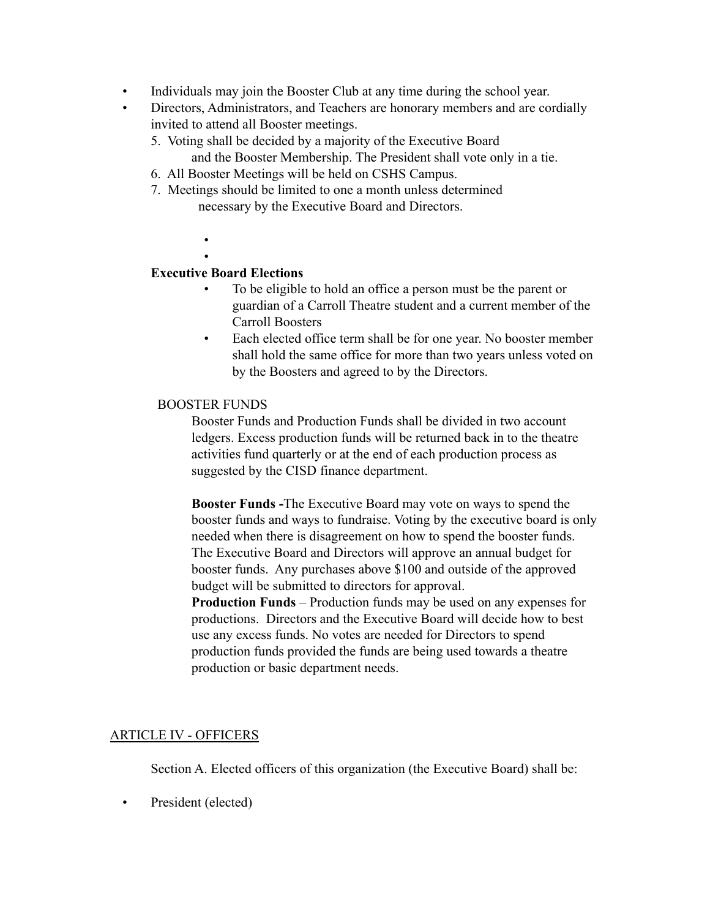- Individuals may join the Booster Club at any time during the school year.
- Directors, Administrators, and Teachers are honorary members and are cordially invited to attend all Booster meetings.
	- 5. Voting shall be decided by a majority of the Executive Board and the Booster Membership. The President shall vote only in a tie.
	- 6. All Booster Meetings will be held on CSHS Campus.
	- 7. Meetings should be limited to one a month unless determined necessary by the Executive Board and Directors.
		- •

# **Executive Board Elections**

- To be eligible to hold an office a person must be the parent or guardian of a Carroll Theatre student and a current member of the Carroll Boosters
- Each elected office term shall be for one year. No booster member shall hold the same office for more than two years unless voted on by the Boosters and agreed to by the Directors.

## BOOSTER FUNDS

Booster Funds and Production Funds shall be divided in two account ledgers. Excess production funds will be returned back in to the theatre activities fund quarterly or at the end of each production process as suggested by the CISD finance department.

**Booster Funds -**The Executive Board may vote on ways to spend the booster funds and ways to fundraise. Voting by the executive board is only needed when there is disagreement on how to spend the booster funds. The Executive Board and Directors will approve an annual budget for booster funds. Any purchases above \$100 and outside of the approved budget will be submitted to directors for approval.

**Production Funds** – Production funds may be used on any expenses for productions. Directors and the Executive Board will decide how to best use any excess funds. No votes are needed for Directors to spend production funds provided the funds are being used towards a theatre production or basic department needs.

# ARTICLE IV - OFFICERS

Section A. Elected officers of this organization (the Executive Board) shall be:

• President (elected)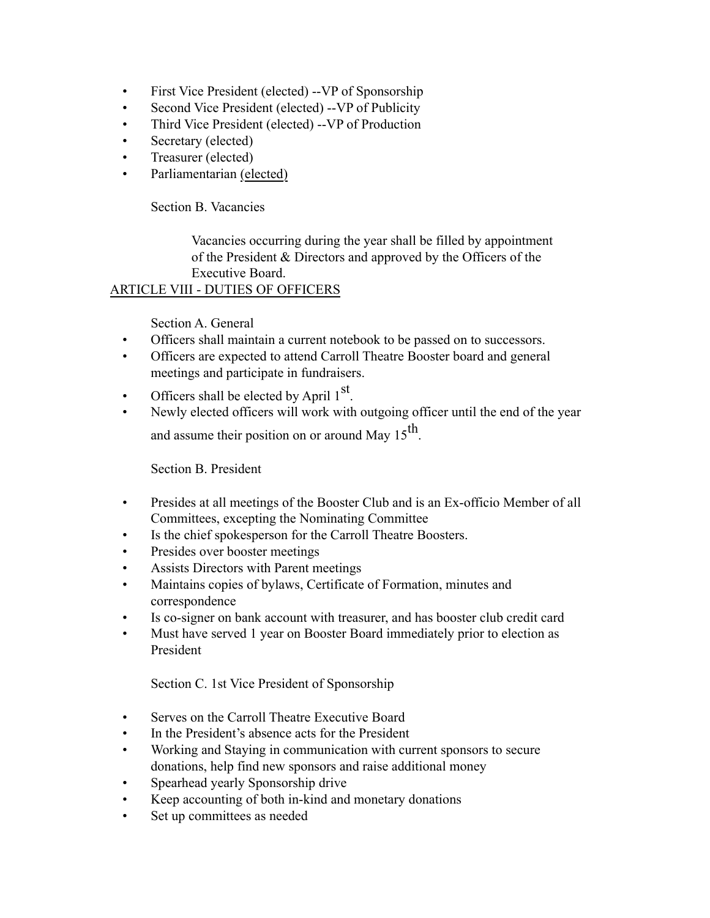- First Vice President (elected) -- VP of Sponsorship
- Second Vice President (elected) -- VP of Publicity
- Third Vice President (elected) --VP of Production
- Secretary (elected)
- Treasurer (elected)
- Parliamentarian (elected)

Section B. Vacancies

Vacancies occurring during the year shall be filled by appointment of the President & Directors and approved by the Officers of the Executive Board.

# ARTICLE VIII - DUTIES OF OFFICERS

# Section A. General

- Officers shall maintain a current notebook to be passed on to successors.
- Officers are expected to attend Carroll Theatre Booster board and general meetings and participate in fundraisers.
- Officers shall be elected by April  $1<sup>st</sup>$ .
- Newly elected officers will work with outgoing officer until the end of the year and assume their position on or around May  $15^{th}$ .

## Section B. President

- Presides at all meetings of the Booster Club and is an Ex-officio Member of all Committees, excepting the Nominating Committee
- Is the chief spokesperson for the Carroll Theatre Boosters.
- Presides over booster meetings
- Assists Directors with Parent meetings
- Maintains copies of bylaws, Certificate of Formation, minutes and correspondence
- Is co-signer on bank account with treasurer, and has booster club credit card
- Must have served 1 year on Booster Board immediately prior to election as President

Section C. 1st Vice President of Sponsorship

- Serves on the Carroll Theatre Executive Board
- In the President's absence acts for the President
- Working and Staying in communication with current sponsors to secure donations, help find new sponsors and raise additional money
- Spearhead yearly Sponsorship drive
- Keep accounting of both in-kind and monetary donations
- Set up committees as needed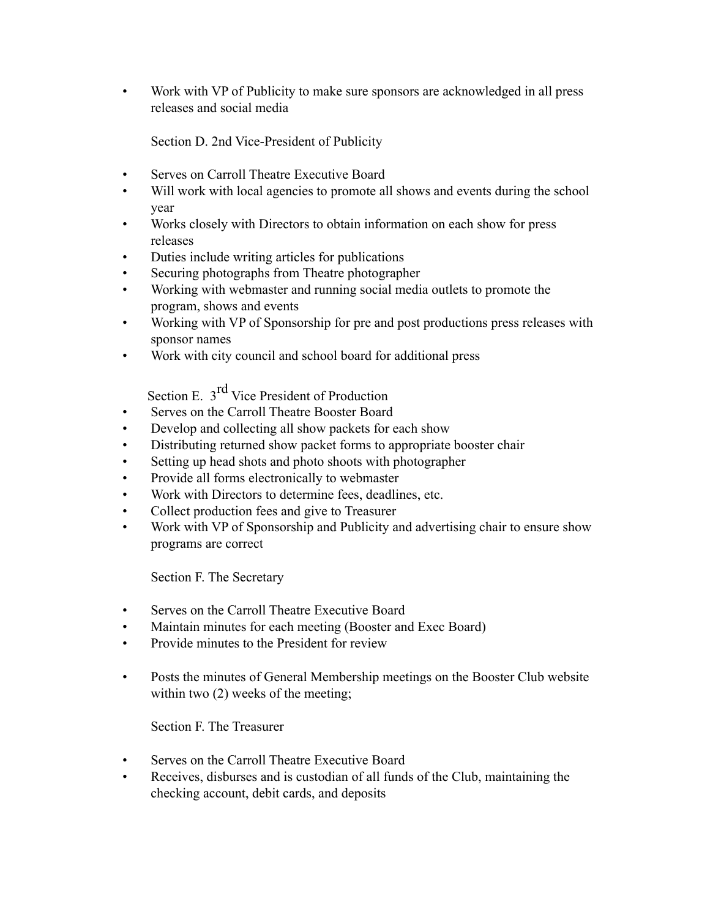• Work with VP of Publicity to make sure sponsors are acknowledged in all press releases and social media

Section D. 2nd Vice-President of Publicity

- Serves on Carroll Theatre Executive Board
- Will work with local agencies to promote all shows and events during the school year
- Works closely with Directors to obtain information on each show for press releases
- Duties include writing articles for publications
- Securing photographs from Theatre photographer
- Working with webmaster and running social media outlets to promote the program, shows and events
- Working with VP of Sponsorship for pre and post productions press releases with sponsor names
- Work with city council and school board for additional press

Section E. 3<sup>rd</sup> Vice President of Production

- Serves on the Carroll Theatre Booster Board
- Develop and collecting all show packets for each show
- Distributing returned show packet forms to appropriate booster chair
- Setting up head shots and photo shoots with photographer
- Provide all forms electronically to webmaster
- Work with Directors to determine fees, deadlines, etc.
- Collect production fees and give to Treasurer
- Work with VP of Sponsorship and Publicity and advertising chair to ensure show programs are correct

Section F. The Secretary

- Serves on the Carroll Theatre Executive Board
- Maintain minutes for each meeting (Booster and Exec Board)
- Provide minutes to the President for review
- Posts the minutes of General Membership meetings on the Booster Club website within two  $(2)$  weeks of the meeting;

Section F. The Treasurer

- Serves on the Carroll Theatre Executive Board
- Receives, disburses and is custodian of all funds of the Club, maintaining the checking account, debit cards, and deposits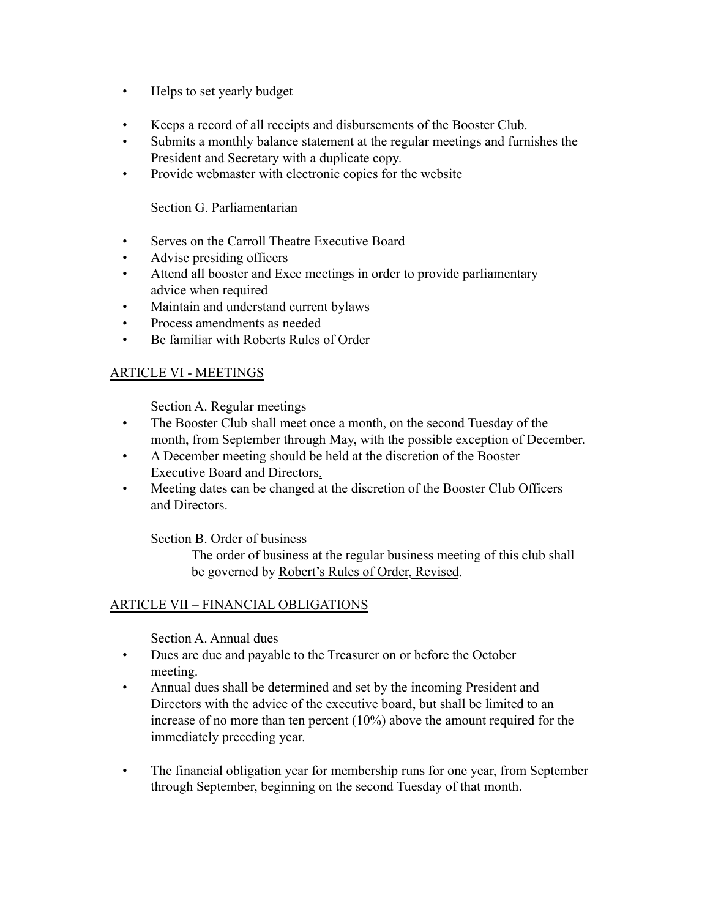- Helps to set yearly budget
- Keeps a record of all receipts and disbursements of the Booster Club.
- Submits a monthly balance statement at the regular meetings and furnishes the President and Secretary with a duplicate copy.
- Provide webmaster with electronic copies for the website

Section G. Parliamentarian

- Serves on the Carroll Theatre Executive Board
- Advise presiding officers
- Attend all booster and Exec meetings in order to provide parliamentary advice when required
- Maintain and understand current bylaws
- Process amendments as needed
- Be familiar with Roberts Rules of Order

# ARTICLE VI - MEETINGS

Section A. Regular meetings

- The Booster Club shall meet once a month, on the second Tuesday of the month, from September through May, with the possible exception of December.
- A December meeting should be held at the discretion of the Booster Executive Board and Directors.
- Meeting dates can be changed at the discretion of the Booster Club Officers and Directors.

Section B. Order of business

The order of business at the regular business meeting of this club shall be governed by Robert's Rules of Order, Revised.

# ARTICLE VII – FINANCIAL OBLIGATIONS

Section A. Annual dues

- Dues are due and payable to the Treasurer on or before the October meeting.
- Annual dues shall be determined and set by the incoming President and Directors with the advice of the executive board, but shall be limited to an increase of no more than ten percent (10%) above the amount required for the immediately preceding year.
- The financial obligation year for membership runs for one year, from September through September, beginning on the second Tuesday of that month.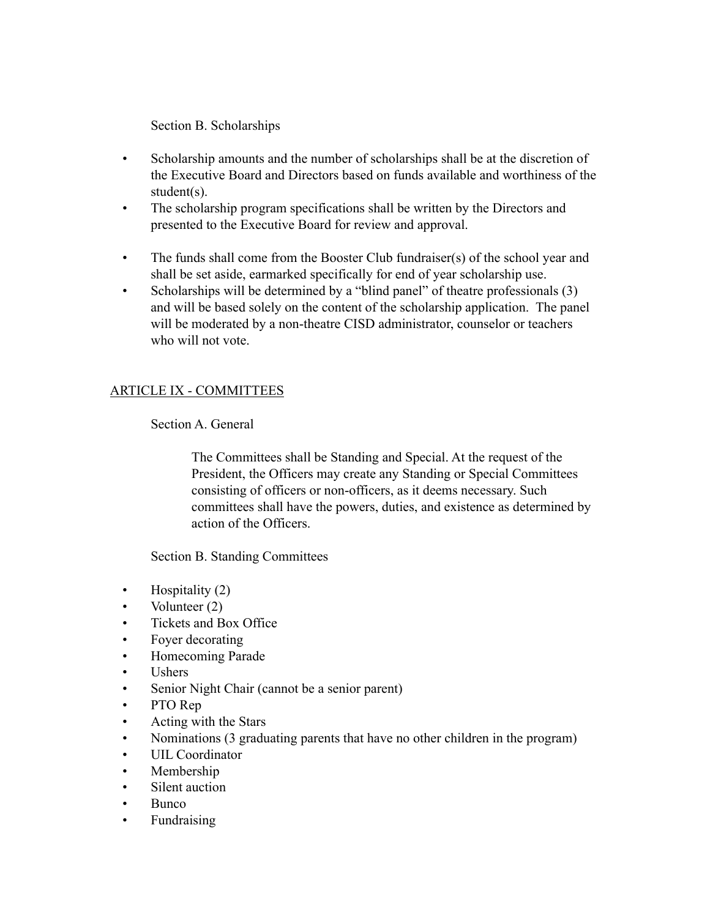Section B. Scholarships

- Scholarship amounts and the number of scholarships shall be at the discretion of the Executive Board and Directors based on funds available and worthiness of the student(s).
- The scholarship program specifications shall be written by the Directors and presented to the Executive Board for review and approval.
- The funds shall come from the Booster Club fundraiser(s) of the school year and shall be set aside, earmarked specifically for end of year scholarship use.
- Scholarships will be determined by a "blind panel" of theatre professionals (3) and will be based solely on the content of the scholarship application. The panel will be moderated by a non-theatre CISD administrator, counselor or teachers who will not vote.

## ARTICLE IX - COMMITTEES

Section A. General

The Committees shall be Standing and Special. At the request of the President, the Officers may create any Standing or Special Committees consisting of officers or non-officers, as it deems necessary. Such committees shall have the powers, duties, and existence as determined by action of the Officers.

Section B. Standing Committees

- Hospitality (2)
- Volunteer (2)
- Tickets and Box Office
- Foyer decorating
- Homecoming Parade
- Ushers
- Senior Night Chair (cannot be a senior parent)
- PTO Rep
- Acting with the Stars
- Nominations (3 graduating parents that have no other children in the program)
- UIL Coordinator
- Membership
- Silent auction
- Bunco
- Fundraising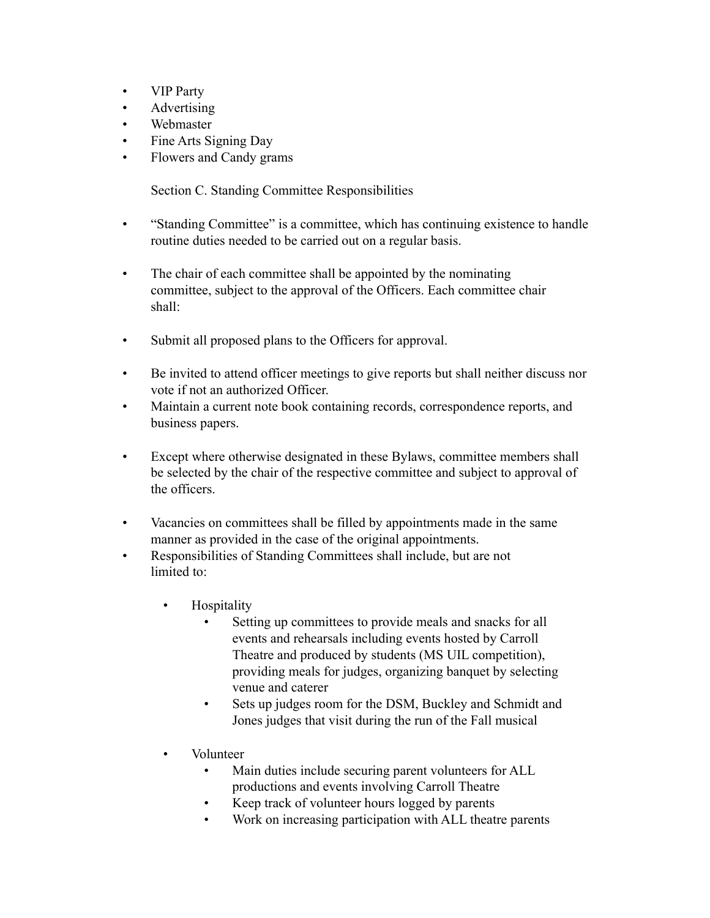- VIP Party
- Advertising
- Webmaster
- Fine Arts Signing Day
- Flowers and Candy grams

Section C. Standing Committee Responsibilities

- "Standing Committee" is a committee, which has continuing existence to handle routine duties needed to be carried out on a regular basis.
- The chair of each committee shall be appointed by the nominating committee, subject to the approval of the Officers. Each committee chair shall:
- Submit all proposed plans to the Officers for approval.
- Be invited to attend officer meetings to give reports but shall neither discuss nor vote if not an authorized Officer.
- Maintain a current note book containing records, correspondence reports, and business papers.
- Except where otherwise designated in these Bylaws, committee members shall be selected by the chair of the respective committee and subject to approval of the officers.
- Vacancies on committees shall be filled by appointments made in the same manner as provided in the case of the original appointments.
- Responsibilities of Standing Committees shall include, but are not limited to:
	- Hospitality
		- Setting up committees to provide meals and snacks for all events and rehearsals including events hosted by Carroll Theatre and produced by students (MS UIL competition), providing meals for judges, organizing banquet by selecting venue and caterer
		- Sets up judges room for the DSM, Buckley and Schmidt and Jones judges that visit during the run of the Fall musical
	- Volunteer
		- Main duties include securing parent volunteers for ALL productions and events involving Carroll Theatre
		- Keep track of volunteer hours logged by parents
		- Work on increasing participation with ALL theatre parents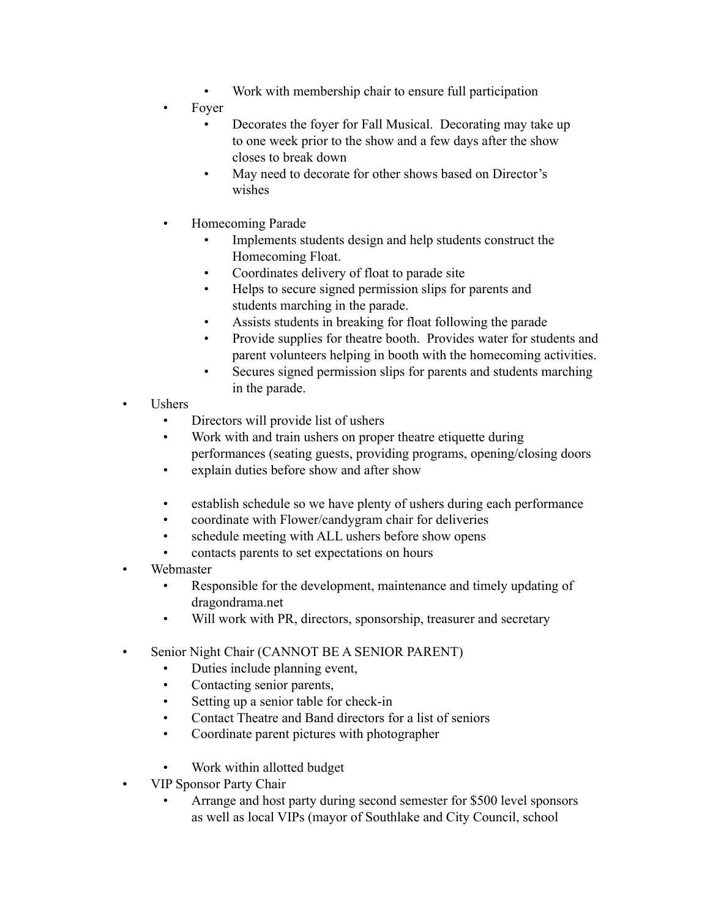- Work with membership chair to ensure full participation
- Foyer
	- Decorates the foyer for Fall Musical. Decorating may take up to one week prior to the show and a few days after the show closes to break down
	- May need to decorate for other shows based on Director's wishes
- Homecoming Parade
	- Implements students design and help students construct the Homecoming Float.
	- Coordinates delivery of float to parade site
	- Helps to secure signed permission slips for parents and students marching in the parade.
	- Assists students in breaking for float following the parade
	- Provide supplies for theatre booth. Provides water for students and parent volunteers helping in booth with the homecoming activities.
	- Secures signed permission slips for parents and students marching in the parade.
- Ushers
	- Directors will provide list of ushers
	- Work with and train ushers on proper theatre etiquette during performances (seating guests, providing programs, opening/closing doors
	- explain duties before show and after show
	- establish schedule so we have plenty of ushers during each performance
	- coordinate with Flower/candygram chair for deliveries
	- schedule meeting with ALL ushers before show opens
	- contacts parents to set expectations on hours
- Webmaster
	- Responsible for the development, maintenance and timely updating of dragondrama.net
	- Will work with PR, directors, sponsorship, treasurer and secretary
- Senior Night Chair (CANNOT BE A SENIOR PARENT)
	- Duties include planning event,
	- Contacting senior parents,
	- Setting up a senior table for check-in
	- Contact Theatre and Band directors for a list of seniors
	- Coordinate parent pictures with photographer
	- Work within allotted budget
- VIP Sponsor Party Chair
	- Arrange and host party during second semester for \$500 level sponsors as well as local VIPs (mayor of Southlake and City Council, school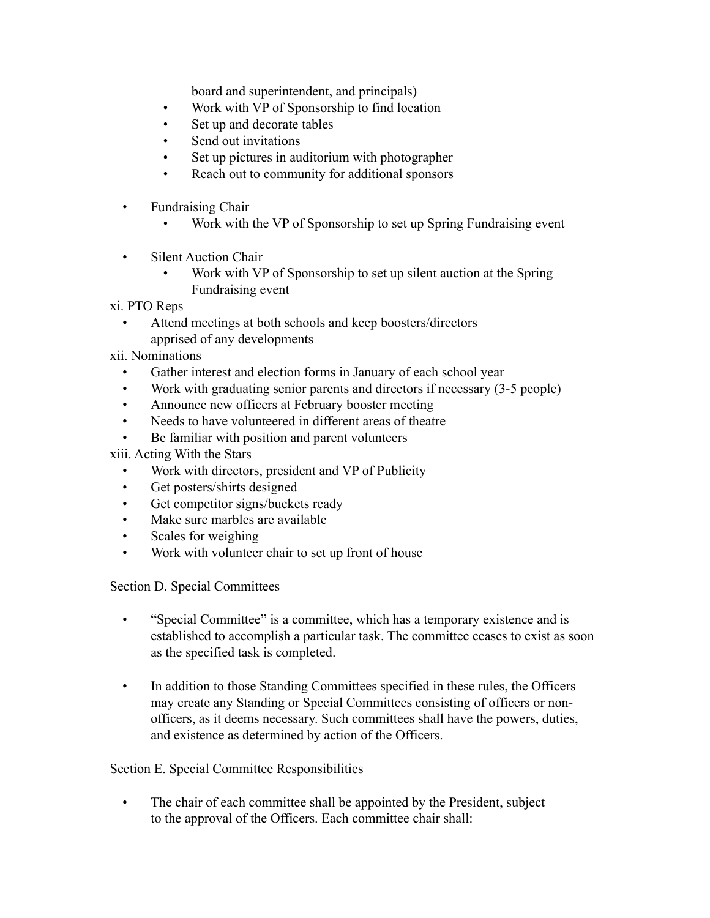board and superintendent, and principals)

- Work with VP of Sponsorship to find location
- Set up and decorate tables
- Send out invitations
- Set up pictures in auditorium with photographer
- Reach out to community for additional sponsors
- Fundraising Chair
	- Work with the VP of Sponsorship to set up Spring Fundraising event
- **Silent Auction Chair** 
	- Work with VP of Sponsorship to set up silent auction at the Spring Fundraising event

xi. PTO Reps

Attend meetings at both schools and keep boosters/directors apprised of any developments

xii. Nominations

- Gather interest and election forms in January of each school year
- Work with graduating senior parents and directors if necessary (3-5 people)
- Announce new officers at February booster meeting
- Needs to have volunteered in different areas of theatre
- Be familiar with position and parent volunteers
- xiii. Acting With the Stars
	- Work with directors, president and VP of Publicity
	- Get posters/shirts designed
	- Get competitor signs/buckets ready
	- Make sure marbles are available
	- Scales for weighing
	- Work with volunteer chair to set up front of house

Section D. Special Committees

- "Special Committee" is a committee, which has a temporary existence and is established to accomplish a particular task. The committee ceases to exist as soon as the specified task is completed.
- In addition to those Standing Committees specified in these rules, the Officers may create any Standing or Special Committees consisting of officers or nonofficers, as it deems necessary. Such committees shall have the powers, duties, and existence as determined by action of the Officers.

## Section E. Special Committee Responsibilities

• The chair of each committee shall be appointed by the President, subject to the approval of the Officers. Each committee chair shall: